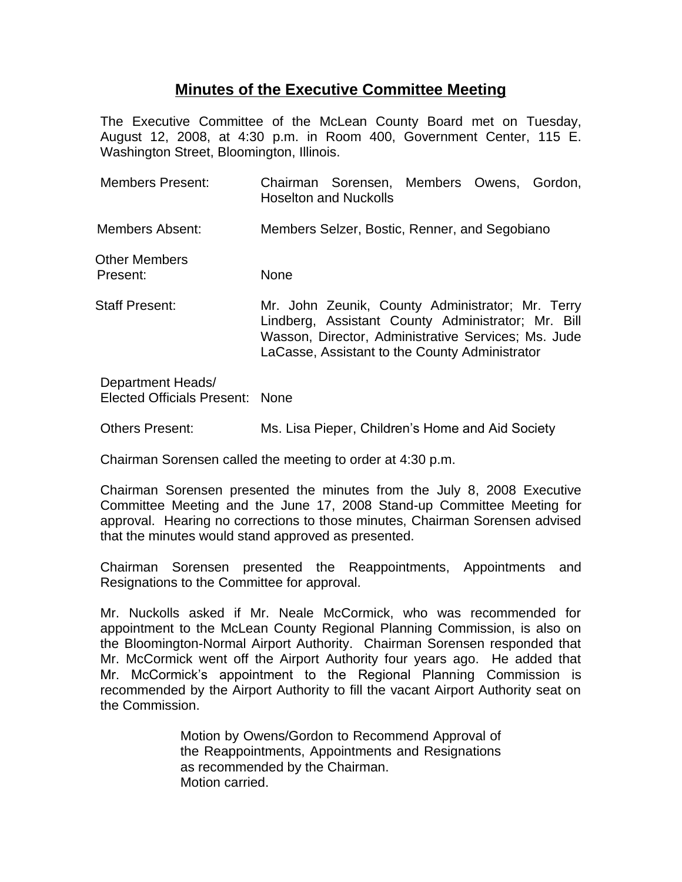## **Minutes of the Executive Committee Meeting**

The Executive Committee of the McLean County Board met on Tuesday, August 12, 2008, at 4:30 p.m. in Room 400, Government Center, 115 E. Washington Street, Bloomington, Illinois.

| <b>Members Present:</b>                              | Chairman Sorensen, Members Owens, Gordon,<br><b>Hoselton and Nuckolls</b>                                                                                                                                       |
|------------------------------------------------------|-----------------------------------------------------------------------------------------------------------------------------------------------------------------------------------------------------------------|
| Members Absent:                                      | Members Selzer, Bostic, Renner, and Segobiano                                                                                                                                                                   |
| Other Members<br>Present:                            | <b>None</b>                                                                                                                                                                                                     |
| Staff Present:                                       | Mr. John Zeunik, County Administrator; Mr. Terry<br>Lindberg, Assistant County Administrator; Mr. Bill<br>Wasson, Director, Administrative Services; Ms. Jude<br>LaCasse, Assistant to the County Administrator |
| Department Heads/<br>Elected Officials Present: None |                                                                                                                                                                                                                 |

Others Present: Ms. Lisa Pieper, Children's Home and Aid Society

Chairman Sorensen called the meeting to order at 4:30 p.m.

Chairman Sorensen presented the minutes from the July 8, 2008 Executive Committee Meeting and the June 17, 2008 Stand-up Committee Meeting for approval. Hearing no corrections to those minutes, Chairman Sorensen advised that the minutes would stand approved as presented.

Chairman Sorensen presented the Reappointments, Appointments and Resignations to the Committee for approval.

Mr. Nuckolls asked if Mr. Neale McCormick, who was recommended for appointment to the McLean County Regional Planning Commission, is also on the Bloomington-Normal Airport Authority. Chairman Sorensen responded that Mr. McCormick went off the Airport Authority four years ago. He added that Mr. McCormick's appointment to the Regional Planning Commission is recommended by the Airport Authority to fill the vacant Airport Authority seat on the Commission.

> Motion by Owens/Gordon to Recommend Approval of the Reappointments, Appointments and Resignations as recommended by the Chairman. Motion carried.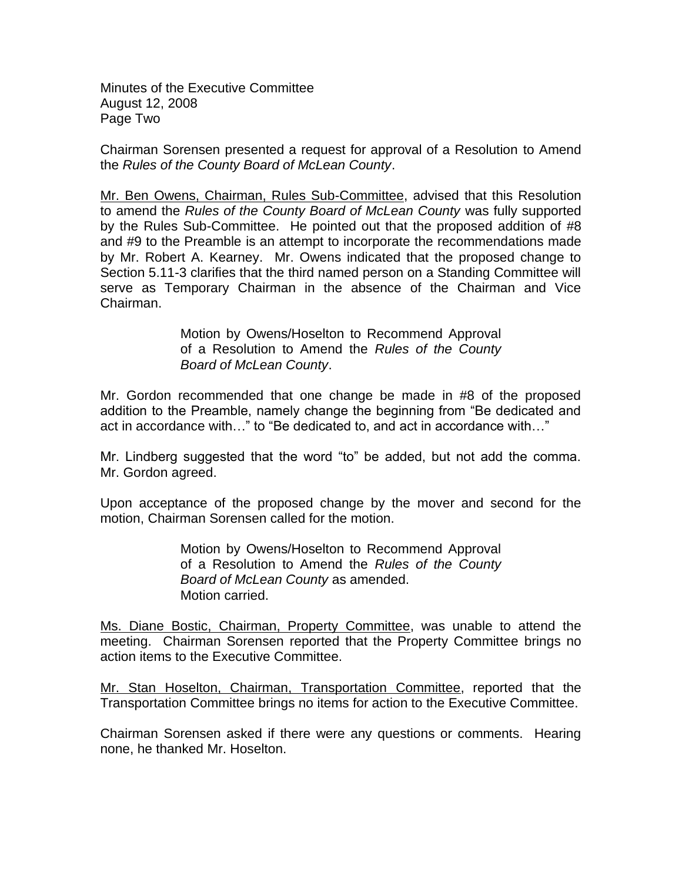Minutes of the Executive Committee August 12, 2008 Page Two

Chairman Sorensen presented a request for approval of a Resolution to Amend the *Rules of the County Board of McLean County*.

Mr. Ben Owens, Chairman, Rules Sub-Committee, advised that this Resolution to amend the *Rules of the County Board of McLean County* was fully supported by the Rules Sub-Committee. He pointed out that the proposed addition of #8 and #9 to the Preamble is an attempt to incorporate the recommendations made by Mr. Robert A. Kearney. Mr. Owens indicated that the proposed change to Section 5.11-3 clarifies that the third named person on a Standing Committee will serve as Temporary Chairman in the absence of the Chairman and Vice Chairman.

> Motion by Owens/Hoselton to Recommend Approval of a Resolution to Amend the *Rules of the County Board of McLean County*.

Mr. Gordon recommended that one change be made in #8 of the proposed addition to the Preamble, namely change the beginning from "Be dedicated and act in accordance with…" to "Be dedicated to, and act in accordance with…"

Mr. Lindberg suggested that the word "to" be added, but not add the comma. Mr. Gordon agreed.

Upon acceptance of the proposed change by the mover and second for the motion, Chairman Sorensen called for the motion.

> Motion by Owens/Hoselton to Recommend Approval of a Resolution to Amend the *Rules of the County Board of McLean County* as amended. Motion carried.

Ms. Diane Bostic, Chairman, Property Committee, was unable to attend the meeting. Chairman Sorensen reported that the Property Committee brings no action items to the Executive Committee.

Mr. Stan Hoselton, Chairman, Transportation Committee, reported that the Transportation Committee brings no items for action to the Executive Committee.

Chairman Sorensen asked if there were any questions or comments. Hearing none, he thanked Mr. Hoselton.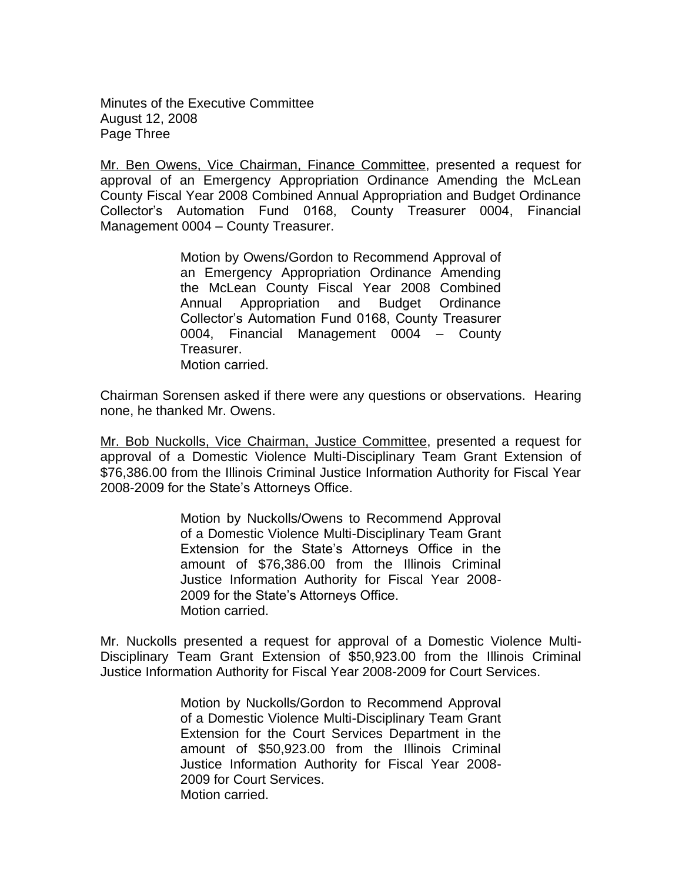Minutes of the Executive Committee August 12, 2008 Page Three

Mr. Ben Owens, Vice Chairman, Finance Committee, presented a request for approval of an Emergency Appropriation Ordinance Amending the McLean County Fiscal Year 2008 Combined Annual Appropriation and Budget Ordinance Collector's Automation Fund 0168, County Treasurer 0004, Financial Management 0004 – County Treasurer.

> Motion by Owens/Gordon to Recommend Approval of an Emergency Appropriation Ordinance Amending the McLean County Fiscal Year 2008 Combined Annual Appropriation and Budget Ordinance Collector's Automation Fund 0168, County Treasurer 0004, Financial Management 0004 – County Treasurer. Motion carried.

Chairman Sorensen asked if there were any questions or observations. Hearing none, he thanked Mr. Owens.

Mr. Bob Nuckolls, Vice Chairman, Justice Committee, presented a request for approval of a Domestic Violence Multi-Disciplinary Team Grant Extension of \$76,386.00 from the Illinois Criminal Justice Information Authority for Fiscal Year 2008-2009 for the State's Attorneys Office.

> Motion by Nuckolls/Owens to Recommend Approval of a Domestic Violence Multi-Disciplinary Team Grant Extension for the State's Attorneys Office in the amount of \$76,386.00 from the Illinois Criminal Justice Information Authority for Fiscal Year 2008- 2009 for the State's Attorneys Office. Motion carried.

Mr. Nuckolls presented a request for approval of a Domestic Violence Multi-Disciplinary Team Grant Extension of \$50,923.00 from the Illinois Criminal Justice Information Authority for Fiscal Year 2008-2009 for Court Services.

> Motion by Nuckolls/Gordon to Recommend Approval of a Domestic Violence Multi-Disciplinary Team Grant Extension for the Court Services Department in the amount of \$50,923.00 from the Illinois Criminal Justice Information Authority for Fiscal Year 2008- 2009 for Court Services. Motion carried.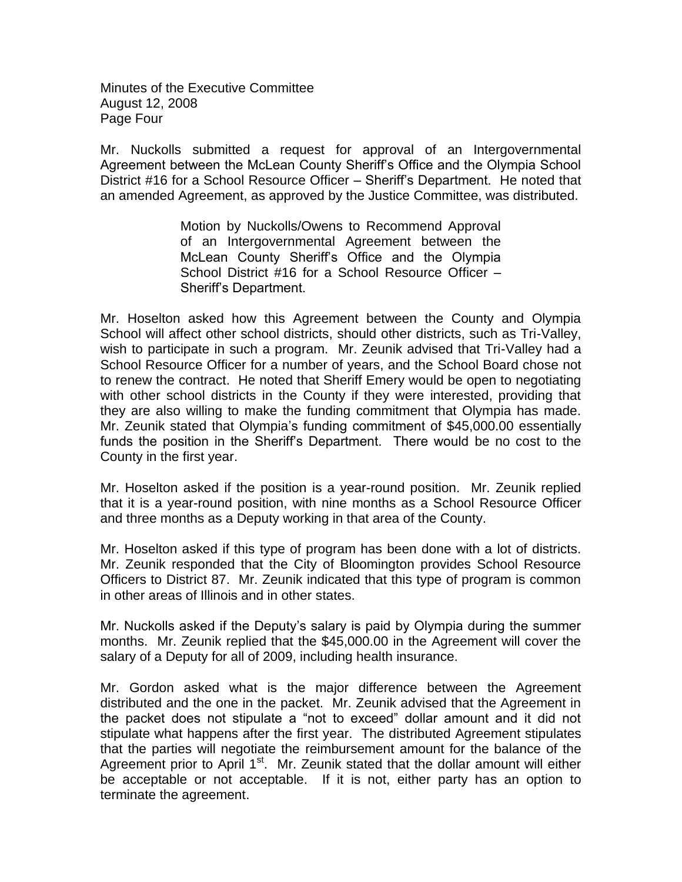Minutes of the Executive Committee August 12, 2008 Page Four

Mr. Nuckolls submitted a request for approval of an Intergovernmental Agreement between the McLean County Sheriff's Office and the Olympia School District #16 for a School Resource Officer – Sheriff's Department. He noted that an amended Agreement, as approved by the Justice Committee, was distributed.

> Motion by Nuckolls/Owens to Recommend Approval of an Intergovernmental Agreement between the McLean County Sheriff's Office and the Olympia School District #16 for a School Resource Officer – Sheriff's Department.

Mr. Hoselton asked how this Agreement between the County and Olympia School will affect other school districts, should other districts, such as Tri-Valley, wish to participate in such a program. Mr. Zeunik advised that Tri-Valley had a School Resource Officer for a number of years, and the School Board chose not to renew the contract. He noted that Sheriff Emery would be open to negotiating with other school districts in the County if they were interested, providing that they are also willing to make the funding commitment that Olympia has made. Mr. Zeunik stated that Olympia's funding commitment of \$45,000.00 essentially funds the position in the Sheriff's Department. There would be no cost to the County in the first year.

Mr. Hoselton asked if the position is a year-round position. Mr. Zeunik replied that it is a year-round position, with nine months as a School Resource Officer and three months as a Deputy working in that area of the County.

Mr. Hoselton asked if this type of program has been done with a lot of districts. Mr. Zeunik responded that the City of Bloomington provides School Resource Officers to District 87. Mr. Zeunik indicated that this type of program is common in other areas of Illinois and in other states.

Mr. Nuckolls asked if the Deputy's salary is paid by Olympia during the summer months. Mr. Zeunik replied that the \$45,000.00 in the Agreement will cover the salary of a Deputy for all of 2009, including health insurance.

Mr. Gordon asked what is the major difference between the Agreement distributed and the one in the packet. Mr. Zeunik advised that the Agreement in the packet does not stipulate a "not to exceed" dollar amount and it did not stipulate what happens after the first year. The distributed Agreement stipulates that the parties will negotiate the reimbursement amount for the balance of the Agreement prior to April 1<sup>st</sup>. Mr. Zeunik stated that the dollar amount will either be acceptable or not acceptable. If it is not, either party has an option to terminate the agreement.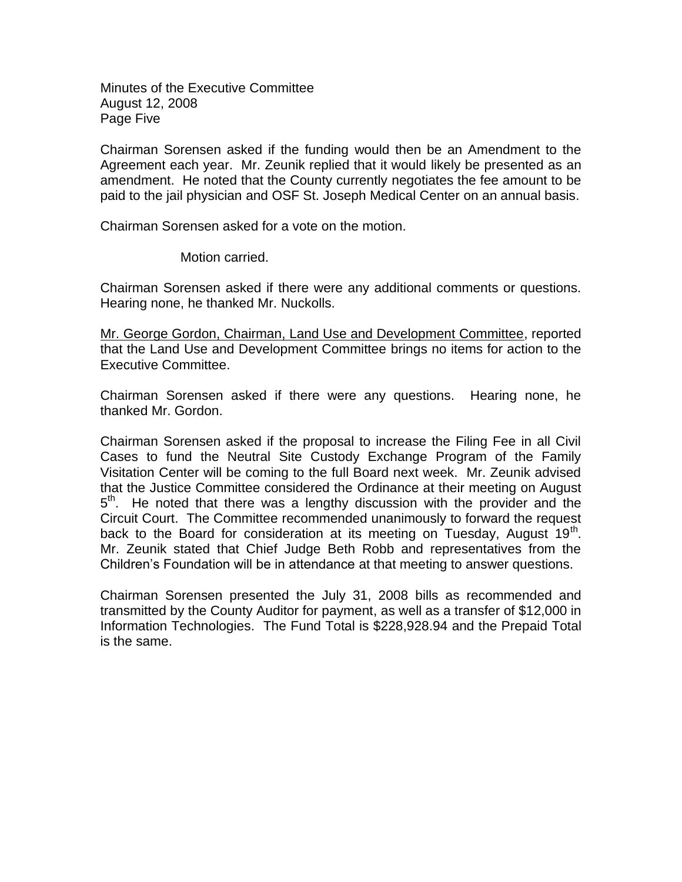Minutes of the Executive Committee August 12, 2008 Page Five

Chairman Sorensen asked if the funding would then be an Amendment to the Agreement each year. Mr. Zeunik replied that it would likely be presented as an amendment. He noted that the County currently negotiates the fee amount to be paid to the jail physician and OSF St. Joseph Medical Center on an annual basis.

Chairman Sorensen asked for a vote on the motion.

Motion carried.

Chairman Sorensen asked if there were any additional comments or questions. Hearing none, he thanked Mr. Nuckolls.

Mr. George Gordon, Chairman, Land Use and Development Committee, reported that the Land Use and Development Committee brings no items for action to the Executive Committee.

Chairman Sorensen asked if there were any questions. Hearing none, he thanked Mr. Gordon.

Chairman Sorensen asked if the proposal to increase the Filing Fee in all Civil Cases to fund the Neutral Site Custody Exchange Program of the Family Visitation Center will be coming to the full Board next week. Mr. Zeunik advised that the Justice Committee considered the Ordinance at their meeting on August 5<sup>th</sup>. He noted that there was a lengthy discussion with the provider and the Circuit Court. The Committee recommended unanimously to forward the request back to the Board for consideration at its meeting on Tuesday, August  $19<sup>th</sup>$ . Mr. Zeunik stated that Chief Judge Beth Robb and representatives from the Children's Foundation will be in attendance at that meeting to answer questions.

Chairman Sorensen presented the July 31, 2008 bills as recommended and transmitted by the County Auditor for payment, as well as a transfer of \$12,000 in Information Technologies. The Fund Total is \$228,928.94 and the Prepaid Total is the same.